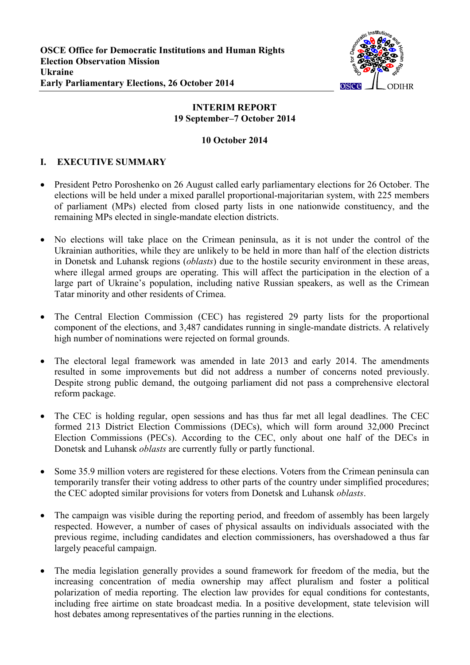

## **INTERIM REPORT 19 September–7 October 2014**

## **10 October 2014**

# **I. EXECUTIVE SUMMARY**

- President Petro Poroshenko on 26 August called early parliamentary elections for 26 October. The elections will be held under a mixed parallel proportional-majoritarian system, with 225 members of parliament (MPs) elected from closed party lists in one nationwide constituency, and the remaining MPs elected in single-mandate election districts.
- No elections will take place on the Crimean peninsula, as it is not under the control of the Ukrainian authorities, while they are unlikely to be held in more than half of the election districts in Donetsk and Luhansk regions (*oblasts*) due to the hostile security environment in these areas, where illegal armed groups are operating. This will affect the participation in the election of a large part of Ukraine's population, including native Russian speakers, as well as the Crimean Tatar minority and other residents of Crimea.
- The Central Election Commission (CEC) has registered 29 party lists for the proportional component of the elections, and 3,487 candidates running in single-mandate districts. A relatively high number of nominations were rejected on formal grounds.
- The electoral legal framework was amended in late 2013 and early 2014. The amendments resulted in some improvements but did not address a number of concerns noted previously. Despite strong public demand, the outgoing parliament did not pass a comprehensive electoral reform package.
- The CEC is holding regular, open sessions and has thus far met all legal deadlines. The CEC formed 213 District Election Commissions (DECs), which will form around 32,000 Precinct Election Commissions (PECs). According to the CEC, only about one half of the DECs in Donetsk and Luhansk *oblasts* are currently fully or partly functional.
- Some 35.9 million voters are registered for these elections. Voters from the Crimean peninsula can temporarily transfer their voting address to other parts of the country under simplified procedures; the CEC adopted similar provisions for voters from Donetsk and Luhansk *oblasts*.
- The campaign was visible during the reporting period, and freedom of assembly has been largely respected. However, a number of cases of physical assaults on individuals associated with the previous regime, including candidates and election commissioners, has overshadowed a thus far largely peaceful campaign.
- The media legislation generally provides a sound framework for freedom of the media, but the increasing concentration of media ownership may affect pluralism and foster a political polarization of media reporting. The election law provides for equal conditions for contestants, including free airtime on state broadcast media. In a positive development, state television will host debates among representatives of the parties running in the elections.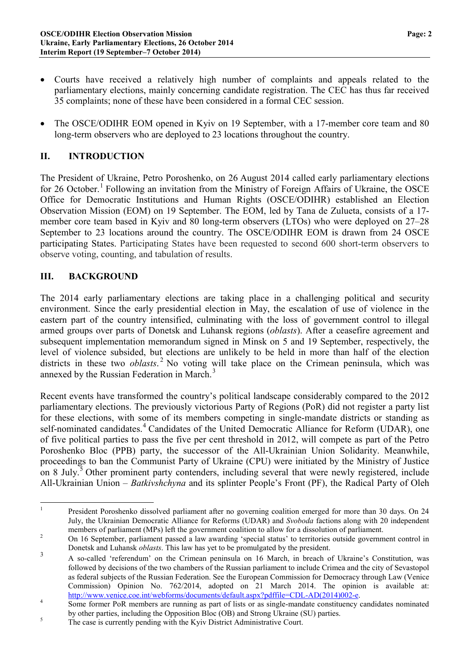- Courts have received a relatively high number of complaints and appeals related to the parliamentary elections, mainly concerning candidate registration. The CEC has thus far received 35 complaints; none of these have been considered in a formal CEC session.
- The OSCE/ODIHR EOM opened in Kyiv on 19 September, with a 17-member core team and 80 long-term observers who are deployed to 23 locations throughout the country.

## **II. INTRODUCTION**

The President of Ukraine, Petro Poroshenko, on 26 August 2014 called early parliamentary elections for 26 October.<sup>[1](#page-1-0)</sup> Following an invitation from the Ministry of Foreign Affairs of Ukraine, the OSCE Office for Democratic Institutions and Human Rights (OSCE/ODIHR) established an Election Observation Mission (EOM) on 19 September. The EOM, led by Tana de Zulueta, consists of a 17 member core team based in Kyiv and 80 long-term observers (LTOs) who were deployed on 27–28 September to 23 locations around the country. The OSCE/ODIHR EOM is drawn from 24 OSCE participating States. Participating States have been requested to second 600 short-term observers to observe voting, counting, and tabulation of results.

## **III. BACKGROUND**

The 2014 early parliamentary elections are taking place in a challenging political and security environment. Since the early presidential election in May, the escalation of use of violence in the eastern part of the country intensified, culminating with the loss of government control to illegal armed groups over parts of Donetsk and Luhansk regions (*oblasts*). After a ceasefire agreement and subsequent implementation memorandum signed in Minsk on 5 and 19 September, respectively, the level of violence subsided, but elections are unlikely to be held in more than half of the election districts in these two *oblasts*. [2](#page-1-1) No voting will take place on the Crimean peninsula, which was annexed by the Russian Federation in March.<sup>[3](#page-1-2)</sup>

Recent events have transformed the country's political landscape considerably compared to the 2012 parliamentary elections. The previously victorious Party of Regions (PoR) did not register a party list for these elections, with some of its members competing in single-mandate districts or standing as self-nominated candidates.<sup>[4](#page-1-3)</sup> Candidates of the United Democratic Alliance for Reform (UDAR), one of five political parties to pass the five per cent threshold in 2012, will compete as part of the Petro Poroshenko Bloc (PPB) party, the successor of the All-Ukrainian Union Solidarity. Meanwhile, proceedings to ban the Communist Party of Ukraine (CPU) were initiated by the Ministry of Justice on 8 July.<sup>[5](#page-1-4)</sup> Other prominent party contenders, including several that were newly registered, include All-Ukrainian Union – *Batkivshchyna* and its splinter People's Front (PF), the Radical Party of Oleh

<span id="page-1-0"></span><sup>&</sup>lt;sup>1</sup> President Poroshenko dissolved parliament after no governing coalition emerged for more than 30 days. On 24 July, the Ukrainian Democratic Alliance for Reforms (UDAR) and *Svoboda* factions along with 20 independent members of parliament (MPs) left the government coalition to allow for a dissolution of parliament.<br><sup>2</sup> On 16 September, parliament passed a law awarding 'special status' to territories outside government control in

<span id="page-1-1"></span>Donetsk and Luhansk *oblasts*. This law has yet to be promulgated by the president.

<span id="page-1-2"></span><sup>&</sup>lt;sup>3</sup> A so-called 'referendum' on the Crimean peninsula on 16 March, in breach of Ukraine's Constitution, was followed by decisions of the two chambers of the Russian parliament to include Crimea and the city of Sevastopol as federal subjects of the Russian Federation. See the European Commission for Democracy through Law (Venice Commission) Opinion No. 762/2014, adopted on 21 March 2014. The opinion is available at:<br>http://www.venice.coe.int/webforms/documents/default.aspx?pdffile=CDL-AD(2014)002-e.

<span id="page-1-3"></span> $\frac{4}{\text{Some former PoR members are running as part of lists or as single-mandate constituency candidates nominated.}$ by other parties, including the Opposition Bloc (OB) and Strong Ukraine (SU) parties.<br>The case is currently pending with the Kyiv District Administrative Court.

<span id="page-1-4"></span>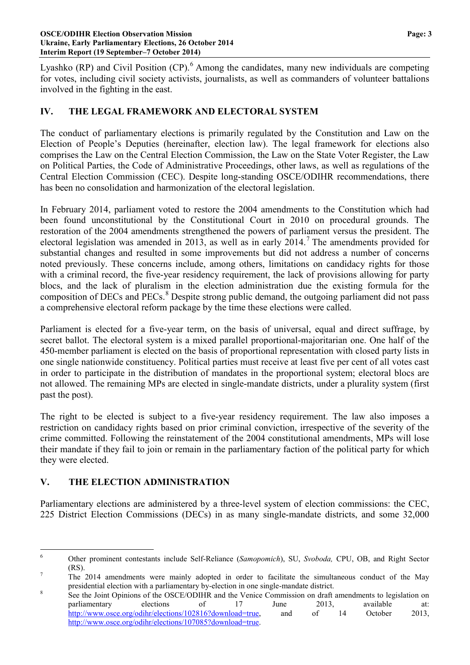Lyashko (RP) and Civil Position (CP).<sup>[6](#page-2-0)</sup> Among the candidates, many new individuals are competing for votes, including civil society activists, journalists, as well as commanders of volunteer battalions involved in the fighting in the east.

## **IV. THE LEGAL FRAMEWORK AND ELECTORAL SYSTEM**

The conduct of parliamentary elections is primarily regulated by the Constitution and Law on the Election of People's Deputies (hereinafter, election law). The legal framework for elections also comprises the Law on the Central Election Commission, the Law on the State Voter Register, the Law on Political Parties, the Code of Administrative Proceedings, other laws, as well as regulations of the Central Election Commission (CEC). Despite long-standing OSCE/ODIHR recommendations, there has been no consolidation and harmonization of the electoral legislation.

In February 2014, parliament voted to restore the 2004 amendments to the Constitution which had been found unconstitutional by the Constitutional Court in 2010 on procedural grounds. The restoration of the 2004 amendments strengthened the powers of parliament versus the president. The electoral legislation was amended in 2013, as well as in early  $2014$ .<sup>[7](#page-2-1)</sup> The amendments provided for substantial changes and resulted in some improvements but did not address a number of concerns noted previously. These concerns include, among others, limitations on candidacy rights for those with a criminal record, the five-year residency requirement, the lack of provisions allowing for party blocs, and the lack of pluralism in the election administration due the existing formula for the composition of DECs and  $PECs$ <sup>[8](#page-2-2)</sup> Despite strong public demand, the outgoing parliament did not pass a comprehensive electoral reform package by the time these elections were called.

Parliament is elected for a five-year term, on the basis of universal, equal and direct suffrage, by secret ballot. The electoral system is a mixed parallel proportional-majoritarian one. One half of the 450-member parliament is elected on the basis of proportional representation with closed party lists in one single nationwide constituency. Political parties must receive at least five per cent of all votes cast in order to participate in the distribution of mandates in the proportional system; electoral blocs are not allowed. The remaining MPs are elected in single-mandate districts, under a plurality system (first past the post).

The right to be elected is subject to a five-year residency requirement. The law also imposes a restriction on candidacy rights based on prior criminal conviction, irrespective of the severity of the crime committed. Following the reinstatement of the 2004 constitutional amendments, MPs will lose their mandate if they fail to join or remain in the parliamentary faction of the political party for which they were elected.

### **V. THE ELECTION ADMINISTRATION**

Parliamentary elections are administered by a three-level system of election commissions: the CEC, 225 District Election Commissions (DECs) in as many single-mandate districts, and some 32,000

<span id="page-2-0"></span> <sup>6</sup> Other prominent contestants include Self-Reliance (*Samopomich*), SU, *Svoboda,* CPU, OB, and Right Sector (RS).<br>The 2014 amendments were mainly adopted in order to facilitate the simultaneous conduct of the May

<span id="page-2-1"></span>presidential election with a parliamentary by-election in one single-mandate district.<br><sup>8</sup> See the Joint Opinions of the OSCE/ODIHR and the Venice Commission on draft amendments to legislation on

<span id="page-2-2"></span>parliamentary elections of 17 June 2013, available at: [http://www.osce.org/odihr/elections/102816?download=true,](http://www.osce.org/odihr/elections/102816?download=true) and of 14 October 2013, [http://www.osce.org/odihr/elections/107085?download=true.](http://www.osce.org/odihr/elections/107085?download=true)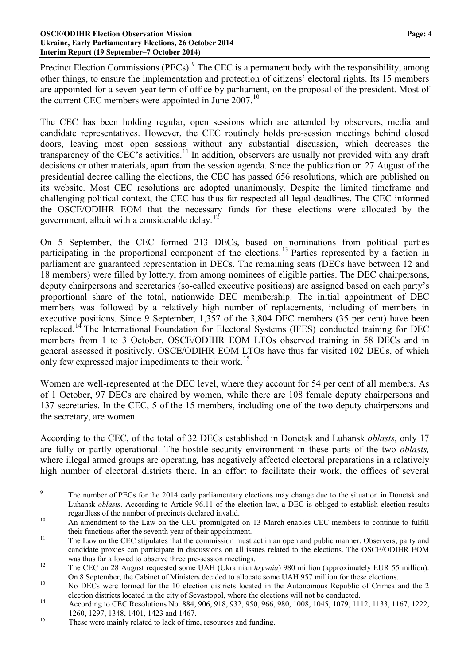#### **OSCE/ODIHR Election Observation Mission Page: 4 Ukraine, Early Parliamentary Elections, 26 October 2014 Interim Report (19 September–7 October 2014)**

Precinct Election Commissions (PECs).<sup>[9](#page-3-0)</sup> The CEC is a permanent body with the responsibility, among other things, to ensure the implementation and protection of citizens' electoral rights. Its 15 members are appointed for a seven-year term of office by parliament, on the proposal of the president. Most of the current CEC members were appointed in June  $2007<sup>10</sup>$  $2007<sup>10</sup>$  $2007<sup>10</sup>$ 

The CEC has been holding regular, open sessions which are attended by observers, media and candidate representatives. However, the CEC routinely holds pre-session meetings behind closed doors, leaving most open sessions without any substantial discussion, which decreases the transparency of the CEC's activities.<sup>[11](#page-3-2)</sup> In addition, observers are usually not provided with any draft decisions or other materials, apart from the session agenda. Since the publication on 27 August of the presidential decree calling the elections, the CEC has passed 656 resolutions, which are published on its website. Most CEC resolutions are adopted unanimously. Despite the limited timeframe and challenging political context, the CEC has thus far respected all legal deadlines. The CEC informed the OSCE/ODIHR EOM that the necessary funds for these elections were allocated by the government, albeit with a considerable delay.<sup>[12](#page-3-3)</sup>

On 5 September, the CEC formed 213 DECs, based on nominations from political parties participating in the proportional component of the elections.<sup>[13](#page-3-4)</sup> Parties represented by a faction in parliament are guaranteed representation in DECs. The remaining seats (DECs have between 12 and 18 members) were filled by lottery, from among nominees of eligible parties. The DEC chairpersons, deputy chairpersons and secretaries (so-called executive positions) are assigned based on each party's proportional share of the total, nationwide DEC membership. The initial appointment of DEC members was followed by a relatively high number of replacements, including of members in executive positions. Since 9 September, 1,357 of the 3,804 DEC members (35 per cent) have been replaced.<sup>[14](#page-3-5)</sup> The International Foundation for Electoral Systems (IFES) conducted training for DEC members from 1 to 3 October. OSCE/ODIHR EOM LTOs observed training in 58 DECs and in general assessed it positively. OSCE/ODIHR EOM LTOs have thus far visited 102 DECs, of which only few expressed major impediments to their work.<sup>[15](#page-3-6)</sup>

Women are well-represented at the DEC level, where they account for 54 per cent of all members. As of 1 October, 97 DECs are chaired by women, while there are 108 female deputy chairpersons and 137 secretaries. In the CEC, 5 of the 15 members, including one of the two deputy chairpersons and the secretary, are women.

According to the CEC, of the total of 32 DECs established in Donetsk and Luhansk *oblasts*, only 17 are fully or partly operational. The hostile security environment in these parts of the two *oblasts,*  where illegal armed groups are operating*,* has negatively affected electoral preparations in a relatively high number of electoral districts there. In an effort to facilitate their work, the offices of several

<span id="page-3-0"></span><sup>&</sup>lt;sup>9</sup> The number of PECs for the 2014 early parliamentary elections may change due to the situation in Donetsk and Luhansk *oblasts*. According to Article 96.11 of the election law, a DEC is obliged to establish election results regardless of the number of precincts declared invalid.<br>An amendment to the Law on the CEC promulgated on 13 March enables CEC members to continue to fulfill

<span id="page-3-1"></span>their functions after the seventh year of their appointment.<br><sup>11</sup> The Law on the CEC stipulates that the commission must act in an open and public manner. Observers, party and

<span id="page-3-2"></span>candidate proxies can participate in discussions on all issues related to the elections. The OSCE/ODIHR EOM was thus far allowed to observe three pre-session meetings.<br><sup>12</sup> The CEC on 28 August requested some UAH (Ukrainian *hryvnia*) 980 million (approximately EUR 55 million).

<span id="page-3-3"></span>

On 8 September, the Cabinet of Ministers decided to allocate some UAH 957 million for these elections. <sup>13</sup> No DECs were formed for the 10 election districts located in the Autonomous Republic of Crimea and the 2

<span id="page-3-5"></span><span id="page-3-4"></span>election districts located in the city of Sevastopol, where the elections will not be conducted.<br>14 According to CEC Resolutions No. 884, 906, 918, 932, 950, 966, 980, 1008, 1045, 1079, 1112, 1133, 1167, 1222, 1260, 1297, 1348, 1401, 1423 and 1467.<br><sup>15</sup> These were mainly related to lack of time, resources and funding.

<span id="page-3-6"></span>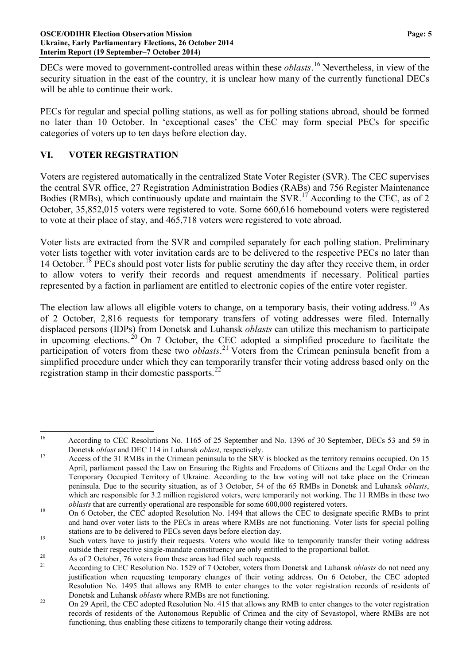DECs were moved to government-controlled areas within these *oblasts*. [16](#page-4-0) Nevertheless, in view of the security situation in the east of the country, it is unclear how many of the currently functional DECs will be able to continue their work.

PECs for regular and special polling stations, as well as for polling stations abroad, should be formed no later than 10 October. In 'exceptional cases' the CEC may form special PECs for specific categories of voters up to ten days before election day.

## **VI. VOTER REGISTRATION**

Voters are registered automatically in the centralized State Voter Register (SVR). The CEC supervises the central SVR office, 27 Registration Administration Bodies (RABs) and 756 Register Maintenance Bodies (RMBs), which continuously update and maintain the  $SVR$ .<sup>[17](#page-4-1)</sup> According to the CEC, as of 2 October, 35,852,015 voters were registered to vote. Some 660,616 homebound voters were registered to vote at their place of stay, and 465,718 voters were registered to vote abroad.

Voter lists are extracted from the SVR and compiled separately for each polling station. Preliminary voter lists together with voter invitation cards are to be delivered to the respective PECs no later than 14 October.<sup>[18](#page-4-2)</sup> PECs should post voter lists for public scrutiny the day after they receive them, in order to allow voters to verify their records and request amendments if necessary. Political parties represented by a faction in parliament are entitled to electronic copies of the entire voter register.

The election law allows all eligible voters to change, on a temporary basis, their voting address.<sup>[19](#page-4-3)</sup> As of 2 October, 2,816 requests for temporary transfers of voting addresses were filed. Internally displaced persons (IDPs) from Donetsk and Luhansk *oblasts* can utilize this mechanism to participate in upcoming elections.<sup>[20](#page-4-4)</sup> On 7 October, the CEC adopted a simplified procedure to facilitate the participation of voters from these two *oblasts*. [21](#page-4-5) Voters from the Crimean peninsula benefit from a simplified procedure under which they can temporarily transfer their voting address based only on the registration stamp in their domestic passports. $^{22}$  $^{22}$  $^{22}$ 

<span id="page-4-0"></span><sup>&</sup>lt;sup>16</sup> According to CEC Resolutions No. 1165 of 25 September and No. 1396 of 30 September, DECs 53 and 59 in

<span id="page-4-1"></span>Donetsk *oblast* and DEC 114 in Luhansk *oblast*, respectively.<br><sup>17</sup> Access of the 31 RMBs in the Crimean peninsula to the SRV is blocked as the territory remains occupied. On 15 April, parliament passed the Law on Ensuring the Rights and Freedoms of Citizens and the Legal Order on the Temporary Occupied Territory of Ukraine. According to the law voting will not take place on the Crimean peninsula. Due to the security situation, as of 3 October, 54 of the 65 RMBs in Donetsk and Luhansk *oblasts*, which are responsible for 3.2 million registered voters, were temporarily not working. The 11 RMBs in these two *oblasts* that are currently operational are responsible for some 600,000 registered voters.<br><sup>18</sup> On 6 October, the CEC adopted Resolution No. 1494 that allows the CEC to designate specific RMBs to print

<span id="page-4-2"></span>and hand over voter lists to the PECs in areas where RMBs are not functioning. Voter lists for special polling stations are to be delivered to PECs seven days before election day.<br><sup>19</sup> Such voters have to justify their requests. Voters who would like to temporarily transfer their voting address

<span id="page-4-3"></span>outside their respective single-mandate constituency are only entitled to the proportional ballot.<br>
As of 2 October, 76 voters from these areas had filed such requests.<br>
According to CEC Resolution No. 1529 of 7 October, v

<span id="page-4-4"></span>

<span id="page-4-5"></span>justification when requesting temporary changes of their voting address. On 6 October, the CEC adopted Resolution No. 1495 that allows any RMB to enter changes to the voter registration records of residents of

<span id="page-4-6"></span><sup>22</sup> Donetsk and Luhansk *oblasts* where RMBs are not functioning.<br><sup>22</sup> On 29 April, the CEC adopted Resolution No. 415 that allows any RMB to enter changes to the voter registration records of residents of the Autonomous Republic of Crimea and the city of Sevastopol, where RMBs are not functioning, thus enabling these citizens to temporarily change their voting address.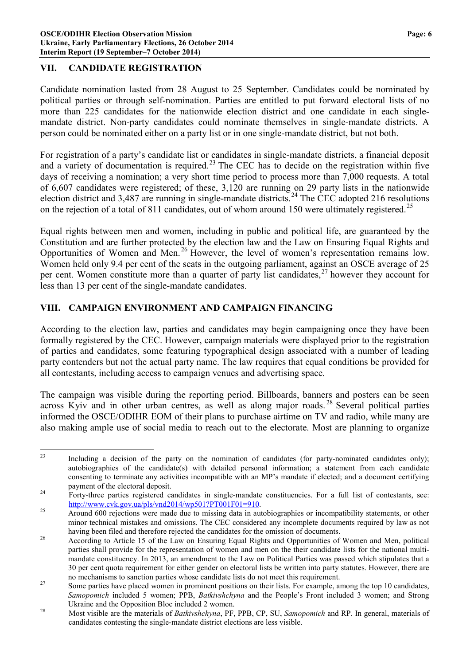### **VII. CANDIDATE REGISTRATION**

Candidate nomination lasted from 28 August to 25 September. Candidates could be nominated by political parties or through self-nomination. Parties are entitled to put forward electoral lists of no more than 225 candidates for the nationwide election district and one candidate in each singlemandate district. Non-party candidates could nominate themselves in single-mandate districts. A person could be nominated either on a party list or in one single-mandate district, but not both.

For registration of a party's candidate list or candidates in single-mandate districts, a financial deposit and a variety of documentation is required.<sup>[23](#page-5-0)</sup> The CEC has to decide on the registration within five days of receiving a nomination; a very short time period to process more than 7,000 requests. A total of 6,607 candidates were registered; of these, 3,120 are running on 29 party lists in the nationwide election district and 3,487 are running in single-mandate districts.[24](#page-5-1) The CEC adopted 216 resolutions on the rejection of a total of 811 candidates, out of whom around 150 were ultimately registered.<sup>[25](#page-5-2)</sup>

Equal rights between men and women, including in public and political life, are guaranteed by the Constitution and are further protected by the election law and the Law on Ensuring Equal Rights and Opportunities of Women and Men. [26](#page-5-3) However, the level of women's representation remains low. Women held only 9.4 per cent of the seats in the outgoing parliament, against an OSCE average of 25 per cent. Women constitute more than a quarter of party list candidates.<sup>[27](#page-5-4)</sup> however they account for less than 13 per cent of the single-mandate candidates.

## **VIII. CAMPAIGN ENVIRONMENT AND CAMPAIGN FINANCING**

According to the election law, parties and candidates may begin campaigning once they have been formally registered by the CEC. However, campaign materials were displayed prior to the registration of parties and candidates, some featuring typographical design associated with a number of leading party contenders but not the actual party name. The law requires that equal conditions be provided for all contestants, including access to campaign venues and advertising space.

The campaign was visible during the reporting period. Billboards, banners and posters can be seen across Kyiv and in other urban centres, as well as along major roads.<sup>[28](#page-5-5)</sup> Several political parties informed the OSCE/ODIHR EOM of their plans to purchase airtime on TV and radio, while many are also making ample use of social media to reach out to the electorate. Most are planning to organize

<span id="page-5-0"></span><sup>&</sup>lt;sup>23</sup> Including a decision of the party on the nomination of candidates (for party-nominated candidates only); autobiographies of the candidate(s) with detailed personal information; a statement from each candidate consenting to terminate any activities incompatible with an MP's mandate if elected; and a document certifying

<span id="page-5-1"></span>payment of the electoral deposit.<br><sup>24</sup> Forty-three parties registered candidates in single-mandate constituencies. For a full list of contestants, see: [http://www.cvk.gov.ua/pls/vnd2014/wp501?PT001F01=910.](http://www.cvk.gov.ua/pls/vnd2014/wp501?PT001F01=910)<br>Around 600 rejections were made due to missing data in autobiographies or incompatibility statements, or other

<span id="page-5-2"></span>minor technical mistakes and omissions. The CEC considered any incomplete documents required by law as not

<span id="page-5-3"></span>having been filed and therefore rejected the candidates for the omission of documents.<br><sup>26</sup> According to Article 15 of the Law on Ensuring Equal Rights and Opportunities of Women and Men, political parties shall provide for the representation of women and men on the their candidate lists for the national multimandate constituency. In 2013, an amendment to the Law on Political Parties was passed which stipulates that a 30 per cent quota requirement for either gender on electoral lists be written into party statutes. However, there are

<span id="page-5-4"></span>no mechanisms to sanction parties whose candidate lists do not meet this requirement.<br><sup>27</sup> Some parties have placed women in prominent positions on their lists. For example, among the top 10 candidates, *Samopomich* included 5 women; PPB, *Batkivshchyna* and the People's Front included 3 women; and Strong

<span id="page-5-5"></span>Ukraine and the Opposition Bloc included 2 women.<br><sup>28</sup> Most visible are the materials of *Batkivshchyna*, PF, PPB, CP, SU, *Samopomich* and RP. In general, materials of candidates contesting the single-mandate district elections are less visible.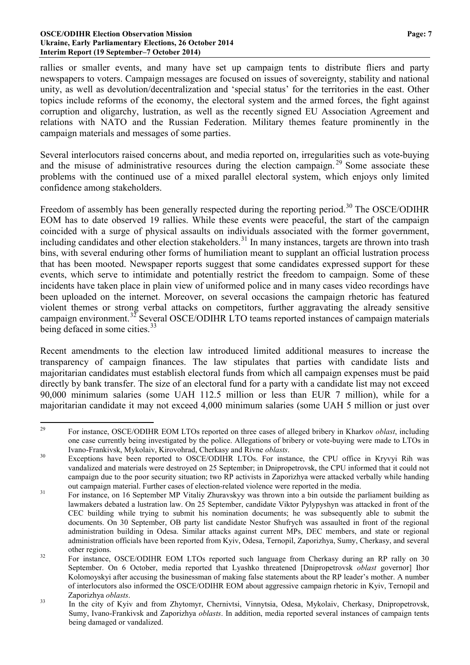#### **OSCE/ODIHR Election Observation Mission Page: 7 Ukraine, Early Parliamentary Elections, 26 October 2014 Interim Report (19 September–7 October 2014)**

rallies or smaller events, and many have set up campaign tents to distribute fliers and party newspapers to voters. Campaign messages are focused on issues of sovereignty, stability and national unity, as well as devolution/decentralization and 'special status' for the territories in the east. Other topics include reforms of the economy, the electoral system and the armed forces, the fight against corruption and oligarchy, lustration, as well as the recently signed EU Association Agreement and relations with NATO and the Russian Federation. Military themes feature prominently in the campaign materials and messages of some parties.

Several interlocutors raised concerns about, and media reported on, irregularities such as vote-buying and the misuse of administrative resources during the election campaign.<sup>[29](#page-6-0)</sup> Some associate these problems with the continued use of a mixed parallel electoral system, which enjoys only limited confidence among stakeholders.

Freedom of assembly has been generally respected during the reporting period.<sup>[30](#page-6-1)</sup> The OSCE/ODIHR EOM has to date observed 19 rallies. While these events were peaceful, the start of the campaign coincided with a surge of physical assaults on individuals associated with the former government, including candidates and other election stakeholders.<sup>[31](#page-6-2)</sup> In many instances, targets are thrown into trash bins, with several enduring other forms of humiliation meant to supplant an official lustration process that has been mooted. Newspaper reports suggest that some candidates expressed support for these events, which serve to intimidate and potentially restrict the freedom to campaign. Some of these incidents have taken place in plain view of uniformed police and in many cases video recordings have been uploaded on the internet. Moreover, on several occasions the campaign rhetoric has featured violent themes or strong verbal attacks on competitors, further aggravating the already sensitive campaign environment.<sup>[32](#page-6-3)</sup> Several OSCE/ODIHR LTO teams reported instances of campaign materials being defaced in some cities.<sup>[33](#page-6-4)</sup>

Recent amendments to the election law introduced limited additional measures to increase the transparency of campaign finances. The law stipulates that parties with candidate lists and majoritarian candidates must establish electoral funds from which all campaign expenses must be paid directly by bank transfer. The size of an electoral fund for a party with a candidate list may not exceed 90,000 minimum salaries (some UAH 112.5 million or less than EUR 7 million), while for a majoritarian candidate it may not exceed 4,000 minimum salaries (some UAH 5 million or just over

<span id="page-6-0"></span> <sup>29</sup> For instance, OSCE/ODIHR EOM LTOs reported on three cases of alleged bribery in Kharkov *oblast*, including one case currently being investigated by the police. Allegations of bribery or vote-buying were made to LTOs in

<span id="page-6-1"></span>Ivano-Frankivsk, Mykolaiv, Kirovohrad, Cherkasy and Rivne *oblasts*. <sup>30</sup> Exceptions have been reported to OSCE/ODIHR LTOs. For instance, the CPU office in Kryvyi Rih was vandalized and materials were destroyed on 25 September; in Dnipropetrovsk, the CPU informed that it could not campaign due to the poor security situation; two RP activists in Zaporizhya were attacked verbally while handing

<span id="page-6-2"></span>out campaign material. Further cases of election-related violence were reported in the media.<br><sup>31</sup> For instance, on 16 September MP Vitaliy Zhuravskyy was thrown into a bin outside the parliament building as lawmakers debated a lustration law. On 25 September, candidate Viktor Pylypyshyn was attacked in front of the CEC building while trying to submit his nomination documents; he was subsequently able to submit the documents. On 30 September, OB party list candidate Nestor Shufrych was assaulted in front of the regional administration building in Odesa. Similar attacks against current MPs, DEC members, and state or regional administration officials have been reported from Kyiv, Odesa, Ternopil, Zaporizhya, Sumy, Cherkasy, and several other regions.<br><sup>32</sup> For instance, OSCE/ODIHR EOM LTOs reported such language from Cherkasy during an RP rally on 30

<span id="page-6-3"></span>September. On 6 October, media reported that Lyashko threatened [Dnipropetrovsk *oblast* governor] Ihor Kolomoyskyi after accusing the businessman of making false statements about the RP leader's mother. A number of interlocutors also informed the OSCE/ODIHR EOM about aggressive campaign rhetoric in Kyiv, Ternopil and

<span id="page-6-4"></span>Zaporizhya *oblasts*. <sup>33</sup> In the city of Kyiv and from Zhytomyr, Chernivtsi, Vinnytsia, Odesa, Mykolaiv, Cherkasy, Dnipropetrovsk, Sumy, Ivano-Frankivsk and Zaporizhya *oblasts*. In addition, media reported several instances of campaign tents being damaged or vandalized.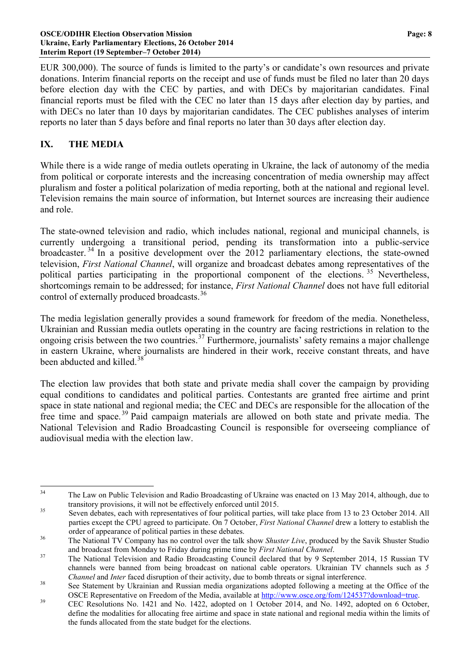#### **OSCE/ODIHR Election Observation Mission Page: 8 Ukraine, Early Parliamentary Elections, 26 October 2014 Interim Report (19 September–7 October 2014)**

EUR 300,000). The source of funds is limited to the party's or candidate's own resources and private donations. Interim financial reports on the receipt and use of funds must be filed no later than 20 days before election day with the CEC by parties, and with DECs by majoritarian candidates. Final financial reports must be filed with the CEC no later than 15 days after election day by parties, and with DECs no later than 10 days by majoritarian candidates. The CEC publishes analyses of interim reports no later than 5 days before and final reports no later than 30 days after election day.

### **IX. THE MEDIA**

While there is a wide range of media outlets operating in Ukraine, the lack of autonomy of the media from political or corporate interests and the increasing concentration of media ownership may affect pluralism and foster a political polarization of media reporting, both at the national and regional level. Television remains the main source of information, but Internet sources are increasing their audience and role.

The state-owned television and radio, which includes national, regional and municipal channels, is currently undergoing a transitional period, pending its transformation into a public-service broadcaster.<sup>[34](#page-7-0)</sup> In a positive development over the 2012 parliamentary elections, the state-owned television, *First National Channel*, will organize and broadcast debates among representatives of the political parties participating in the proportional component of the elections.<sup>[35](#page-7-1)</sup> Nevertheless, shortcomings remain to be addressed; for instance, *First National Channel* does not have full editorial control of externally produced broadcasts.<sup>[36](#page-7-2)</sup>

The media legislation generally provides a sound framework for freedom of the media. Nonetheless, Ukrainian and Russian media outlets operating in the country are facing restrictions in relation to the ongoing crisis between the two countries.<sup>[37](#page-7-3)</sup> Furthermore, journalists' safety remains a major challenge in eastern Ukraine, where journalists are hindered in their work, receive constant threats, and have been abducted and killed  $38$ 

The election law provides that both state and private media shall cover the campaign by providing equal conditions to candidates and political parties. Contestants are granted free airtime and print space in state national and regional media; the CEC and DECs are responsible for the allocation of the free time and space. [39](#page-7-5) Paid campaign materials are allowed on both state and private media. The National Television and Radio Broadcasting Council is responsible for overseeing compliance of audiovisual media with the election law.

<span id="page-7-0"></span><sup>&</sup>lt;sup>34</sup> The Law on Public Television and Radio Broadcasting of Ukraine was enacted on 13 May 2014, although, due to transitory provisions, it will not be effectively enforced until 2015.<br>Seven debates, each with representatives of four political parties, will take place from 13 to 23 October 2014. All

<span id="page-7-1"></span>parties except the CPU agreed to participate. On 7 October, *First National Channel* drew a lottery to establish the order of appearance of political parties in these debates.<br><sup>36</sup> The National TV Company has no control over the talk show *Shuster Live*, produced by the Savik Shuster Studio

<span id="page-7-2"></span>and broadcast from Monday to Friday during prime time by *First National Channel*.<br><sup>37</sup> The National Television and Radio Broadcasting Council declared that by 9 September 2014, 15 Russian TV

<span id="page-7-3"></span>channels were banned from being broadcast on national cable operators. Ukrainian TV channels such as *5* 

*Channel* and *Inter* faced disruption of their activity, due to bomb threats or signal interference.<br><sup>38</sup> See Statement by Ukrainian and Russian media organizations adopted following a meeting at the Office of the

<span id="page-7-5"></span><span id="page-7-4"></span>OSCE Representative on Freedom of the Media, available at  $\frac{http://www.osec.org/form/124537?download=true}{http://www.osec.org/form/124537?download=true}$ .<br>CEC Resolutions No. 1421 and No. 1422, adopted on 1 October 2014, and No. 1492, adopted on 6 October, define the modalities for allocating free airtime and space in state national and regional media within the limits of the funds allocated from the state budget for the elections.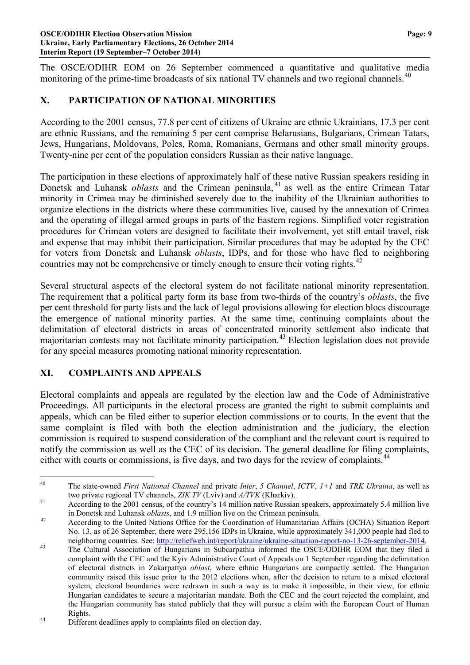The OSCE/ODIHR EOM on 26 September commenced a quantitative and qualitative media monitoring of the prime-time broadcasts of six national TV channels and two regional channels.<sup>[40](#page-8-0)</sup>

## **X. PARTICIPATION OF NATIONAL MINORITIES**

According to the 2001 census, 77.8 per cent of citizens of Ukraine are ethnic Ukrainians, 17.3 per cent are ethnic Russians, and the remaining 5 per cent comprise Belarusians, Bulgarians, Crimean Tatars, Jews, Hungarians, Moldovans, Poles, Roma, Romanians, Germans and other small minority groups. Twenty-nine per cent of the population considers Russian as their native language.

The participation in these elections of approximately half of these native Russian speakers residing in Donetsk and Luhansk *oblasts* and the Crimean peninsula, <sup>[41](#page-8-1)</sup> as well as the entire Crimean Tatar minority in Crimea may be diminished severely due to the inability of the Ukrainian authorities to organize elections in the districts where these communities live, caused by the annexation of Crimea and the operating of illegal armed groups in parts of the Eastern regions. Simplified voter registration procedures for Crimean voters are designed to facilitate their involvement, yet still entail travel, risk and expense that may inhibit their participation. Similar procedures that may be adopted by the CEC for voters from Donetsk and Luhansk *oblasts*, IDPs, and for those who have fled to neighboring countries may not be comprehensive or timely enough to ensure their voting rights. $42$ 

Several structural aspects of the electoral system do not facilitate national minority representation. The requirement that a political party form its base from two-thirds of the country's *oblasts*, the five per cent threshold for party lists and the lack of legal provisions allowing for election blocs discourage the emergence of national minority parties. At the same time, continuing complaints about the delimitation of electoral districts in areas of concentrated minority settlement also indicate that majoritarian contests may not facilitate minority participation.[43](#page-8-3) Election legislation does not provide for any special measures promoting national minority representation.

### **XI. COMPLAINTS AND APPEALS**

Electoral complaints and appeals are regulated by the election law and the Code of Administrative Proceedings. All participants in the electoral process are granted the right to submit complaints and appeals, which can be filed either to superior election commissions or to courts. In the event that the same complaint is filed with both the election administration and the judiciary, the election commission is required to suspend consideration of the compliant and the relevant court is required to notify the commission as well as the CEC of its decision. The general deadline for filing complaints, either with courts or commissions, is five days, and two days for the review of complaints.<sup>[44](#page-8-4)</sup>

<span id="page-8-0"></span> <sup>40</sup> The state-owned *First National Channel* and private *Inter*, *5 Channel*, *ICTV*, *1+1* and *TRK Ukraina*, as well as two private regional TV channels, *ZIK TV* (Lviv) and *A/TVK* (Kharkiv).<br>According to the 2001 census, of the country's 14 million native Russian speakers, approximately 5.4 million live

<span id="page-8-1"></span>

<span id="page-8-2"></span>in Donetsk and Luhansk *oblasts*, and 1.9 million live on the Crimean peninsula.<br>According to the United Nations Office for the Coordination of Humanitarian Affairs (OCHA) Situation Report No. 13, as of 26 September, there were 295,156 IDPs in Ukraine, while approximately 341,000 people had fled to neighboring countries. See: [http://reliefweb.int/report/ukraine/ukraine-situation-report-no-13-26-september-2014.](http://reliefweb.int/report/ukraine/ukraine-situation-report-no-13-26-september-2014)<br>The Cultural Association of Hungarians in Subcarpathia informed the OSCE/ODIHR EOM that they filed a

<span id="page-8-3"></span>complaint with the CEC and the Kyiv Administrative Court of Appeals on 1 September regarding the delimitation of electoral districts in Zakarpattya *oblast*, where ethnic Hungarians are compactly settled. The Hungarian community raised this issue prior to the 2012 elections when, after the decision to return to a mixed electoral system, electoral boundaries were redrawn in such a way as to make it impossible, in their view, for ethnic Hungarian candidates to secure a majoritarian mandate. Both the CEC and the court rejected the complaint, and the Hungarian community has stated publicly that they will pursue a claim with the European Court of Human

<span id="page-8-4"></span>Rights.<br><sup>44</sup> Different deadlines apply to complaints filed on election day.